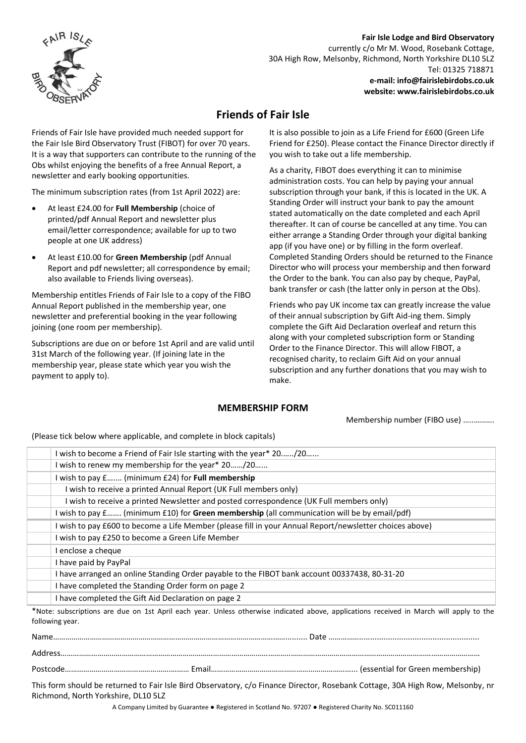

# **Fair Isle Lodge and Bird Observatory**

currently c/o Mr M. Wood, Rosebank Cottage, 30A High Row, Melsonby, Richmond, North Yorkshire DL10 5LZ Tel: 01325 718871 **e-mail: info@fairislebirdobs.co.uk website: www.fairislebirdobs.co.uk**

# **Friends of Fair Isle**

Friends of Fair Isle have provided much needed support for the Fair Isle Bird Observatory Trust (FIBOT) for over 70 years. It is a way that supporters can contribute to the running of the Obs whilst enjoying the benefits of a free Annual Report, a newsletter and early booking opportunities.

The minimum subscription rates (from 1st April 2022) are:

- At least £24.00 for **Full Membership** (choice of printed/pdf Annual Report and newsletter plus email/letter correspondence; available for up to two people at one UK address)
- At least £10.00 for **Green Membership** (pdf Annual Report and pdf newsletter; all correspondence by email; also available to Friends living overseas).

Membership entitles Friends of Fair Isle to a copy of the FIBO Annual Report published in the membership year, one newsletter and preferential booking in the year following joining (one room per membership).

Subscriptions are due on or before 1st April and are valid until 31st March of the following year. (If joining late in the membership year, please state which year you wish the payment to apply to).

It is also possible to join as a Life Friend for £600 (Green Life Friend for £250). Please contact the Finance Director directly if you wish to take out a life membership.

As a charity, FIBOT does everything it can to minimise administration costs. You can help by paying your annual subscription through your bank, if this is located in the UK. A Standing Order will instruct your bank to pay the amount stated automatically on the date completed and each April thereafter. It can of course be cancelled at any time. You can either arrange a Standing Order through your digital banking app (if you have one) or by filling in the form overleaf. Completed Standing Orders should be returned to the Finance Director who will process your membership and then forward the Order to the bank. You can also pay by cheque, PayPal, bank transfer or cash (the latter only in person at the Obs).

Friends who pay UK income tax can greatly increase the value of their annual subscription by Gift Aid-ing them. Simply complete the Gift Aid Declaration overleaf and return this along with your completed subscription form or Standing Order to the Finance Director. This will allow FIBOT, a recognised charity, to reclaim Gift Aid on your annual subscription and any further donations that you may wish to make.

# **MEMBERSHIP FORM**

Membership number (FIBO use) …..……….

(Please tick below where applicable, and complete in block capitals)

| I wish to become a Friend of Fair Isle starting with the year* 20/20                                                                    |
|-----------------------------------------------------------------------------------------------------------------------------------------|
| I wish to renew my membership for the year* 20/20                                                                                       |
| I wish to pay £ (minimum £24) for Full membership                                                                                       |
| I wish to receive a printed Annual Report (UK Full members only)                                                                        |
| I wish to receive a printed Newsletter and posted correspondence (UK Full members only)                                                 |
| I wish to pay £ (minimum £10) for Green membership (all communication will be by email/pdf)                                             |
| I wish to pay £600 to become a Life Member (please fill in your Annual Report/newsletter choices above)                                 |
| I wish to pay £250 to become a Green Life Member                                                                                        |
| I enclose a cheque                                                                                                                      |
| I have paid by PayPal                                                                                                                   |
| I have arranged an online Standing Order payable to the FIBOT bank account 00337438, 80-31-20                                           |
| I have completed the Standing Order form on page 2                                                                                      |
| I have completed the Gift Aid Declaration on page 2                                                                                     |
| *Note; subscriptions are due on 1st April each vear. Unless otherwise indicated above, applications received in March will apply to the |

tions are due on 1st April each year. Unless otherwise indicated above, applications received in March will apply to the following year.

Name…………………………………………………………………………………………………….......... Date ……………......................................................

Address…………………………………………………………………………………………………..…………………………………………………………………………………

Postcode…………………………………………….……… Email……………………………………………………………... (essential for Green membership)

This form should be returned to Fair Isle Bird Observatory, c/o Finance Director, Rosebank Cottage, 30A High Row, Melsonby, nr Richmond, North Yorkshire, DL10 5LZ

A Company Limited by Guarantee ● Registered in Scotland No. 97207 ● Registered Charity No. SC011160